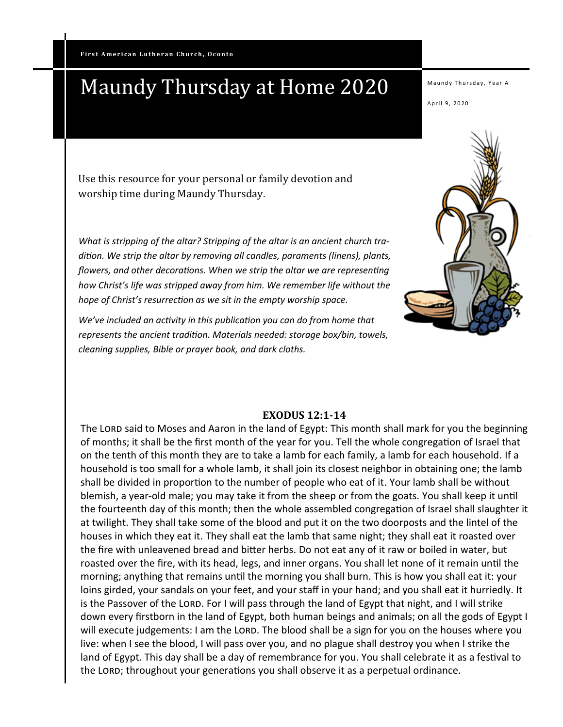# Maundy Thursday at Home 2020

Maundy Thursday, Year A

April 9, 2020

Use this resource for your personal or family devotion and worship time during Maundy Thursday.

*What is stripping of the altar? Stripping of the altar is an ancient church tradition. We strip the altar by removing all candles, paraments (linens), plants, flowers, and other decorations. When we strip the altar we are representing how Christ's life was stripped away from him. We remember life without the hope of Christ's resurrection as we sit in the empty worship space.* 

*We've included an activity in this publication you can do from home that represents the ancient tradition. Materials needed: storage box/bin, towels, cleaning supplies, Bible or prayer book, and dark cloths.*



#### **EXODUS 12:1-14**

The LORD said to Moses and Aaron in the land of Egypt: This month shall mark for you the beginning of months; it shall be the first month of the year for you. Tell the whole congregation of Israel that on the tenth of this month they are to take a lamb for each family, a lamb for each household. If a household is too small for a whole lamb, it shall join its closest neighbor in obtaining one; the lamb shall be divided in proportion to the number of people who eat of it. Your lamb shall be without blemish, a year-old male; you may take it from the sheep or from the goats. You shall keep it until the fourteenth day of this month; then the whole assembled congregation of Israel shall slaughter it at twilight. They shall take some of the blood and put it on the two doorposts and the lintel of the houses in which they eat it. They shall eat the lamb that same night; they shall eat it roasted over the fire with unleavened bread and bitter herbs. Do not eat any of it raw or boiled in water, but roasted over the fire, with its head, legs, and inner organs. You shall let none of it remain until the morning; anything that remains until the morning you shall burn. This is how you shall eat it: your loins girded, your sandals on your feet, and your staff in your hand; and you shall eat it hurriedly. It is the Passover of the LORD. For I will pass through the land of Egypt that night, and I will strike down every firstborn in the land of Egypt, both human beings and animals; on all the gods of Egypt I will execute judgements: I am the LORD. The blood shall be a sign for you on the houses where you live: when I see the blood, I will pass over you, and no plague shall destroy you when I strike the land of Egypt. This day shall be a day of remembrance for you. You shall celebrate it as a festival to the Lord; throughout your generations you shall observe it as a perpetual ordinance.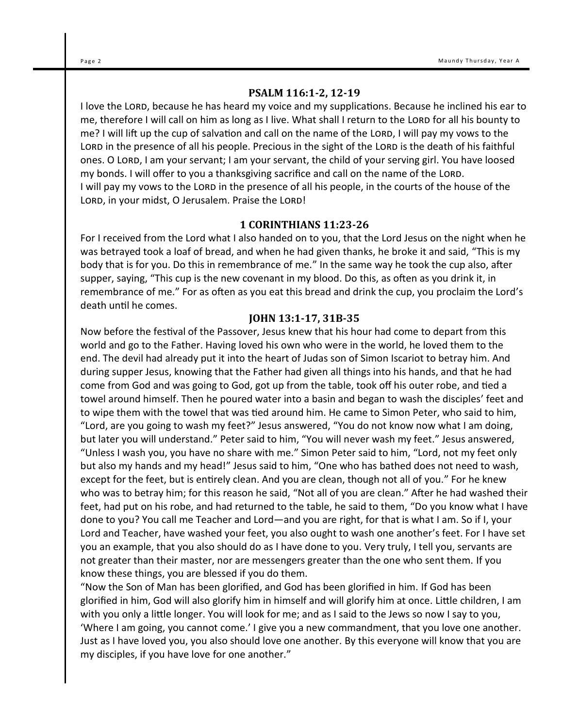#### **PSALM 116:1-2, 12-19**

I love the LORD, because he has heard my voice and my supplications. Because he inclined his ear to me, therefore I will call on him as long as I live. What shall I return to the LORD for all his bounty to me? I will lift up the cup of salvation and call on the name of the LORD, I will pay my vows to the LORD in the presence of all his people. Precious in the sight of the LORD is the death of his faithful ones. O LORD, I am your servant; I am your servant, the child of your serving girl. You have loosed my bonds. I will offer to you a thanksgiving sacrifice and call on the name of the LORD. I will pay my vows to the LORD in the presence of all his people, in the courts of the house of the LORD, in your midst, O Jerusalem. Praise the LORD!

#### **1 CORINTHIANS 11:23-26**

For I received from the Lord what I also handed on to you, that the Lord Jesus on the night when he was betrayed took a loaf of bread, and when he had given thanks, he broke it and said, "This is my body that is for you. Do this in remembrance of me." In the same way he took the cup also, after supper, saying, "This cup is the new covenant in my blood. Do this, as often as you drink it, in remembrance of me." For as often as you eat this bread and drink the cup, you proclaim the Lord's death until he comes.

#### **JOHN 13:1-17, 31B-35**

Now before the festival of the Passover, Jesus knew that his hour had come to depart from this world and go to the Father. Having loved his own who were in the world, he loved them to the end. The devil had already put it into the heart of Judas son of Simon Iscariot to betray him. And during supper Jesus, knowing that the Father had given all things into his hands, and that he had come from God and was going to God, got up from the table, took off his outer robe, and tied a towel around himself. Then he poured water into a basin and began to wash the disciples' feet and to wipe them with the towel that was tied around him. He came to Simon Peter, who said to him, "Lord, are you going to wash my feet?" Jesus answered, "You do not know now what I am doing, but later you will understand." Peter said to him, "You will never wash my feet." Jesus answered, "Unless I wash you, you have no share with me." Simon Peter said to him, "Lord, not my feet only but also my hands and my head!" Jesus said to him, "One who has bathed does not need to wash, except for the feet, but is entirely clean. And you are clean, though not all of you." For he knew who was to betray him; for this reason he said, "Not all of you are clean." After he had washed their feet, had put on his robe, and had returned to the table, he said to them, "Do you know what I have done to you? You call me Teacher and Lord—and you are right, for that is what I am. So if I, your Lord and Teacher, have washed your feet, you also ought to wash one another's feet. For I have set you an example, that you also should do as I have done to you. Very truly, I tell you, servants are not greater than their master, nor are messengers greater than the one who sent them. If you know these things, you are blessed if you do them.

"Now the Son of Man has been glorified, and God has been glorified in him. If God has been glorified in him, God will also glorify him in himself and will glorify him at once. Little children, I am with you only a little longer. You will look for me; and as I said to the Jews so now I say to you, 'Where I am going, you cannot come.' I give you a new commandment, that you love one another. Just as I have loved you, you also should love one another. By this everyone will know that you are my disciples, if you have love for one another."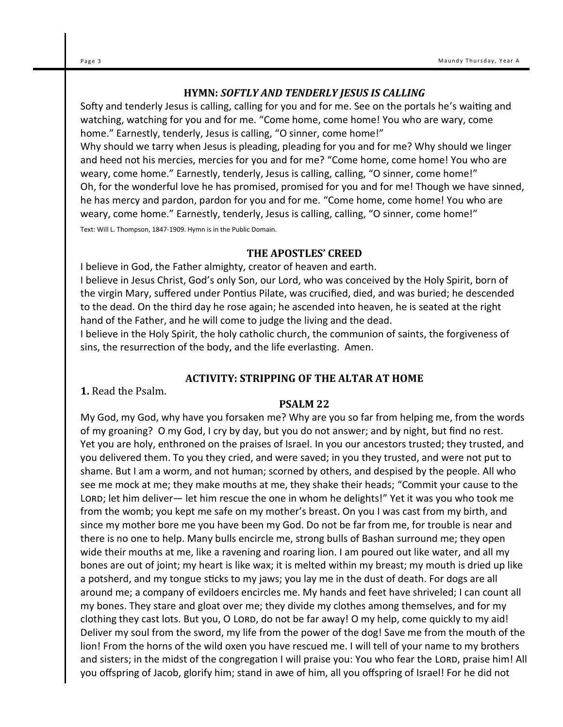#### **HYMN:** *SOFTLY AND TENDERLY JESUS IS CALLING*

Softy and tenderly Jesus is calling, calling for you and for me. See on the portals he's waiting and watching, watching for you and for me. "Come home, come home! You who are wary, come home." Earnestly, tenderly, Jesus is calling, "O sinner, come home!" Why should we tarry when Jesus is pleading, pleading for you and for me? Why should we linger and heed not his mercies, mercies for you and for me? "Come home, come home! You who are weary, come home." Earnestly, tenderly, Jesus is calling, calling, "O sinner, come home!" Oh, for the wonderful love he has promised, promised for you and for me! Though we have sinned, he has mercy and pardon, pardon for you and for me. "Come home, come home! You who are weary, come home." Earnestly, tenderly, Jesus is calling, calling, "O sinner, come home!"

Text: Will L. Thompson, 1847-1909. Hymn is in the Public Domain.

## **THE APOSTLES' CREED**

I believe in God, the Father almighty, creator of heaven and earth.

hand of the Father, and he will come to judge the living and the dead. I believe in Jesus Christ, God's only Son, our Lord, who was conceived by the Holy Spirit, born of the virgin Mary, suffered under Pontius Pilate, was crucified, died, and was buried; he descended to the dead. On the third day he rose again; he ascended into heaven, he is seated at the right

I believe in the Holy Spirit, the holy catholic church, the communion of saints, the forgiveness of sins, the resurrection of the body, and the life everlasting. Amen.

## **ACTIVITY: STRIPPING OF THE ALTAR AT HOME**

**1.** Read the Psalm.

## **PSALM 22**

My God, my God, why have you forsaken me? Why are you so far from helping me, from the words of my groaning? O my God, I cry by day, but you do not answer; and by night, but find no rest. Yet you are holy, enthroned on the praises of Israel. In you our ancestors trusted; they trusted, and you delivered them. To you they cried, and were saved; in you they trusted, and were not put to shame. But I am a worm, and not human; scorned by others, and despised by the people. All who see me mock at me; they make mouths at me, they shake their heads; "Commit your cause to the LORD; let him deliver— let him rescue the one in whom he delights!" Yet it was you who took me from the womb; you kept me safe on my mother's breast. On you I was cast from my birth, and since my mother bore me you have been my God. Do not be far from me, for trouble is near and there is no one to help. Many bulls encircle me, strong bulls of Bashan surround me; they open wide their mouths at me, like a ravening and roaring lion. I am poured out like water, and all my bones are out of joint; my heart is like wax; it is melted within my breast; my mouth is dried up like a potsherd, and my tongue sticks to my jaws; you lay me in the dust of death. For dogs are all around me; a company of evildoers encircles me. My hands and feet have shriveled; I can count all my bones. They stare and gloat over me; they divide my clothes among themselves, and for my clothing they cast lots. But you, O LORD, do not be far away! O my help, come quickly to my aid! Deliver my soul from the sword, my life from the power of the dog! Save me from the mouth of the lion! From the horns of the wild oxen you have rescued me. I will tell of your name to my brothers and sisters; in the midst of the congregation I will praise you: You who fear the LORD, praise him! All you offspring of Jacob, glorify him; stand in awe of him, all you offspring of Israel! For he did not